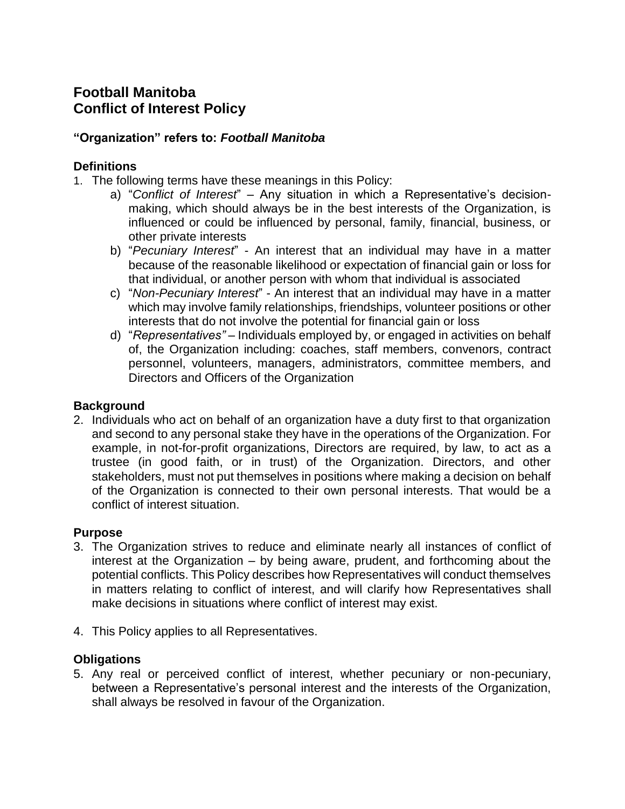# **Football Manitoba Conflict of Interest Policy**

### **"Organization" refers to:** *Football Manitoba*

### **Definitions**

- 1. The following terms have these meanings in this Policy:
	- a) "*Conflict of Interest*" Any situation in which a Representative's decisionmaking, which should always be in the best interests of the Organization, is influenced or could be influenced by personal, family, financial, business, or other private interests
	- b) "*Pecuniary Interest*" An interest that an individual may have in a matter because of the reasonable likelihood or expectation of financial gain or loss for that individual, or another person with whom that individual is associated
	- c) "*Non-Pecuniary Interest*" An interest that an individual may have in a matter which may involve family relationships, friendships, volunteer positions or other interests that do not involve the potential for financial gain or loss
	- d) "*Representatives"* Individuals employed by, or engaged in activities on behalf of, the Organization including: coaches, staff members, convenors, contract personnel, volunteers, managers, administrators, committee members, and Directors and Officers of the Organization

#### **Background**

2. Individuals who act on behalf of an organization have a duty first to that organization and second to any personal stake they have in the operations of the Organization. For example, in not-for-profit organizations, Directors are required, by law, to act as a trustee (in good faith, or in trust) of the Organization. Directors, and other stakeholders, must not put themselves in positions where making a decision on behalf of the Organization is connected to their own personal interests. That would be a conflict of interest situation.

#### **Purpose**

- 3. The Organization strives to reduce and eliminate nearly all instances of conflict of interest at the Organization – by being aware, prudent, and forthcoming about the potential conflicts. This Policy describes how Representatives will conduct themselves in matters relating to conflict of interest, and will clarify how Representatives shall make decisions in situations where conflict of interest may exist.
- 4. This Policy applies to all Representatives.

#### **Obligations**

5. Any real or perceived conflict of interest, whether pecuniary or non-pecuniary, between a Representative's personal interest and the interests of the Organization, shall always be resolved in favour of the Organization.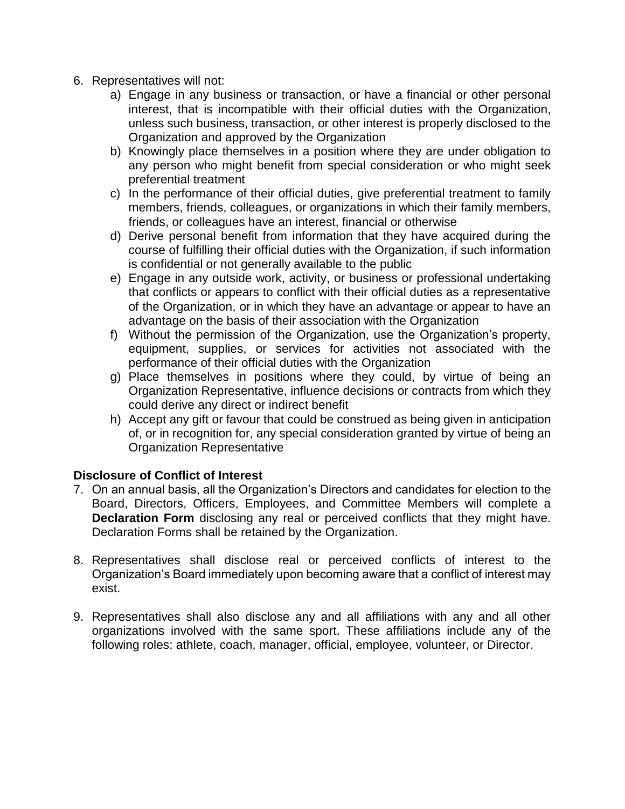- 6. Representatives will not:
	- a) Engage in any business or transaction, or have a financial or other personal interest, that is incompatible with their official duties with the Organization, unless such business, transaction, or other interest is properly disclosed to the Organization and approved by the Organization
	- b) Knowingly place themselves in a position where they are under obligation to any person who might benefit from special consideration or who might seek preferential treatment
	- c) In the performance of their official duties, give preferential treatment to family members, friends, colleagues, or organizations in which their family members, friends, or colleagues have an interest, financial or otherwise
	- d) Derive personal benefit from information that they have acquired during the course of fulfilling their official duties with the Organization, if such information is confidential or not generally available to the public
	- e) Engage in any outside work, activity, or business or professional undertaking that conflicts or appears to conflict with their official duties as a representative of the Organization, or in which they have an advantage or appear to have an advantage on the basis of their association with the Organization
	- f) Without the permission of the Organization, use the Organization's property, equipment, supplies, or services for activities not associated with the performance of their official duties with the Organization
	- g) Place themselves in positions where they could, by virtue of being an Organization Representative, influence decisions or contracts from which they could derive any direct or indirect benefit
	- h) Accept any gift or favour that could be construed as being given in anticipation of, or in recognition for, any special consideration granted by virtue of being an Organization Representative

### **Disclosure of Conflict of Interest**

- 7. On an annual basis, all the Organization's Directors and candidates for election to the Board, Directors, Officers, Employees, and Committee Members will complete a **Declaration Form** disclosing any real or perceived conflicts that they might have. Declaration Forms shall be retained by the Organization.
- 8. Representatives shall disclose real or perceived conflicts of interest to the Organization's Board immediately upon becoming aware that a conflict of interest may exist.
- 9. Representatives shall also disclose any and all affiliations with any and all other organizations involved with the same sport. These affiliations include any of the following roles: athlete, coach, manager, official, employee, volunteer, or Director.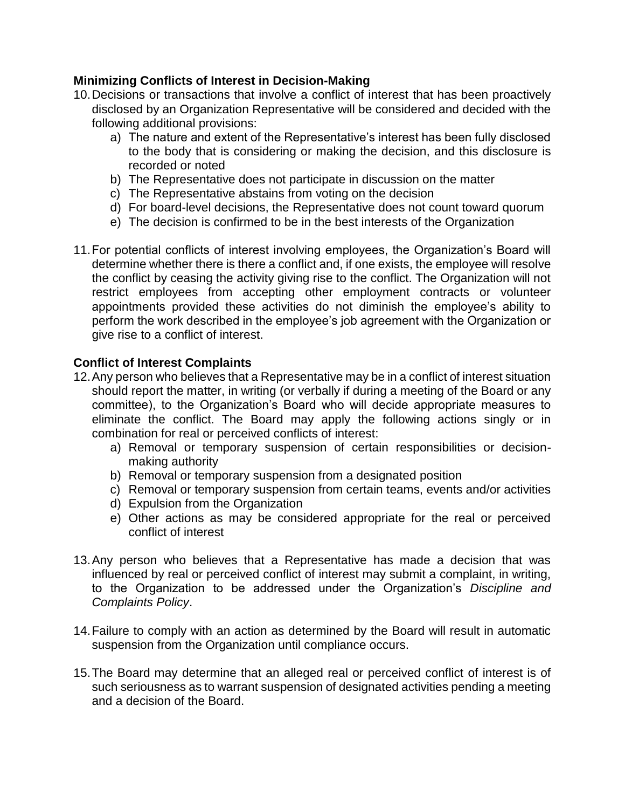### **Minimizing Conflicts of Interest in Decision-Making**

- 10.Decisions or transactions that involve a conflict of interest that has been proactively disclosed by an Organization Representative will be considered and decided with the following additional provisions:
	- a) The nature and extent of the Representative's interest has been fully disclosed to the body that is considering or making the decision, and this disclosure is recorded or noted
	- b) The Representative does not participate in discussion on the matter
	- c) The Representative abstains from voting on the decision
	- d) For board-level decisions, the Representative does not count toward quorum
	- e) The decision is confirmed to be in the best interests of the Organization
- 11.For potential conflicts of interest involving employees, the Organization's Board will determine whether there is there a conflict and, if one exists, the employee will resolve the conflict by ceasing the activity giving rise to the conflict. The Organization will not restrict employees from accepting other employment contracts or volunteer appointments provided these activities do not diminish the employee's ability to perform the work described in the employee's job agreement with the Organization or give rise to a conflict of interest.

### **Conflict of Interest Complaints**

- 12.Any person who believes that a Representative may be in a conflict of interest situation should report the matter, in writing (or verbally if during a meeting of the Board or any committee), to the Organization's Board who will decide appropriate measures to eliminate the conflict. The Board may apply the following actions singly or in combination for real or perceived conflicts of interest:
	- a) Removal or temporary suspension of certain responsibilities or decisionmaking authority
	- b) Removal or temporary suspension from a designated position
	- c) Removal or temporary suspension from certain teams, events and/or activities
	- d) Expulsion from the Organization
	- e) Other actions as may be considered appropriate for the real or perceived conflict of interest
- 13.Any person who believes that a Representative has made a decision that was influenced by real or perceived conflict of interest may submit a complaint, in writing, to the Organization to be addressed under the Organization's *Discipline and Complaints Policy*.
- 14.Failure to comply with an action as determined by the Board will result in automatic suspension from the Organization until compliance occurs.
- 15.The Board may determine that an alleged real or perceived conflict of interest is of such seriousness as to warrant suspension of designated activities pending a meeting and a decision of the Board.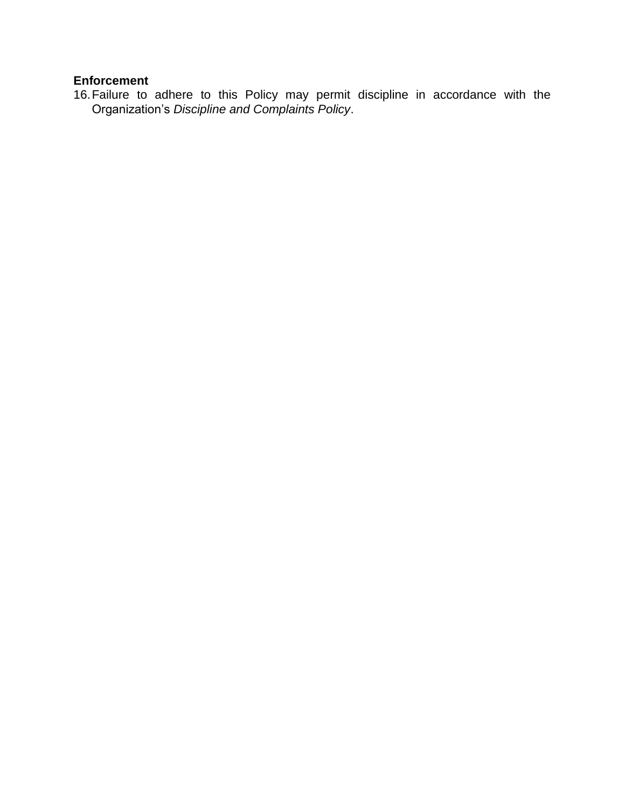## **Enforcement**

16.Failure to adhere to this Policy may permit discipline in accordance with the Organization's *Discipline and Complaints Policy*.